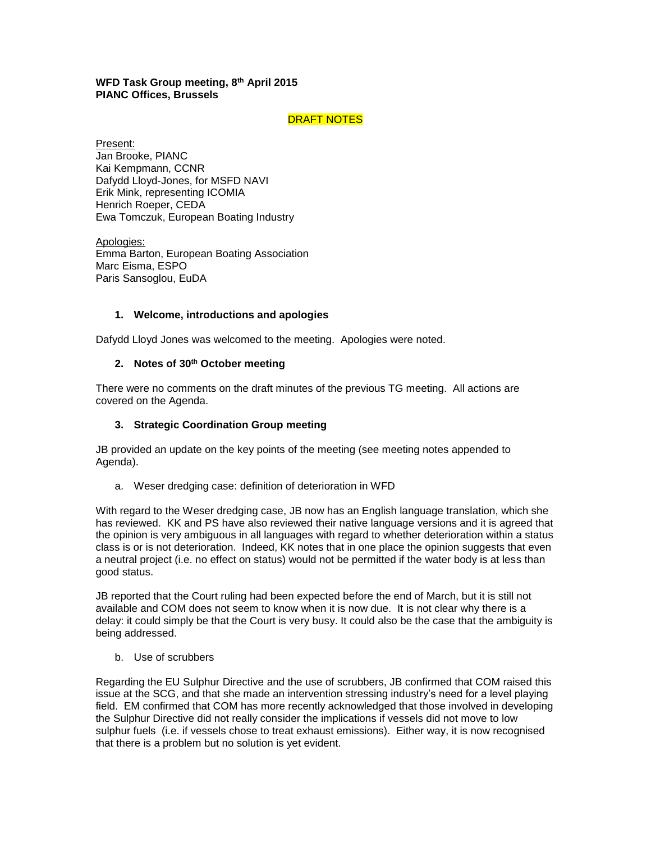# **WFD Task Group meeting, 8th April 2015 PIANC Offices, Brussels**

# DRAFT NOTES

Present: Jan Brooke, PIANC Kai Kempmann, CCNR Dafydd Lloyd-Jones, for MSFD NAVI Erik Mink, representing ICOMIA Henrich Roeper, CEDA Ewa Tomczuk, European Boating Industry

Apologies: Emma Barton, European Boating Association Marc Eisma, ESPO Paris Sansoglou, EuDA

# **1. Welcome, introductions and apologies**

Dafydd Lloyd Jones was welcomed to the meeting. Apologies were noted.

# **2. Notes of 30th October meeting**

There were no comments on the draft minutes of the previous TG meeting. All actions are covered on the Agenda.

## **3. Strategic Coordination Group meeting**

JB provided an update on the key points of the meeting (see meeting notes appended to Agenda).

a. Weser dredging case: definition of deterioration in WFD

With regard to the Weser dredging case, JB now has an English language translation, which she has reviewed. KK and PS have also reviewed their native language versions and it is agreed that the opinion is very ambiguous in all languages with regard to whether deterioration within a status class is or is not deterioration. Indeed, KK notes that in one place the opinion suggests that even a neutral project (i.e. no effect on status) would not be permitted if the water body is at less than good status.

JB reported that the Court ruling had been expected before the end of March, but it is still not available and COM does not seem to know when it is now due. It is not clear why there is a delay: it could simply be that the Court is very busy. It could also be the case that the ambiguity is being addressed.

b. Use of scrubbers

Regarding the EU Sulphur Directive and the use of scrubbers, JB confirmed that COM raised this issue at the SCG, and that she made an intervention stressing industry's need for a level playing field. EM confirmed that COM has more recently acknowledged that those involved in developing the Sulphur Directive did not really consider the implications if vessels did not move to low sulphur fuels (i.e. if vessels chose to treat exhaust emissions). Either way, it is now recognised that there is a problem but no solution is yet evident.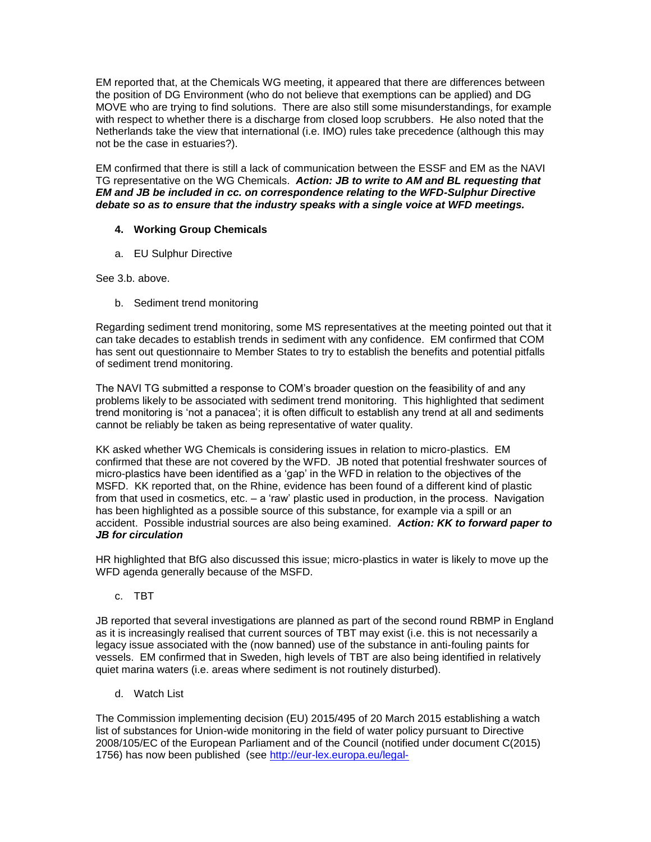EM reported that, at the Chemicals WG meeting, it appeared that there are differences between the position of DG Environment (who do not believe that exemptions can be applied) and DG MOVE who are trying to find solutions. There are also still some misunderstandings, for example with respect to whether there is a discharge from closed loop scrubbers. He also noted that the Netherlands take the view that international (i.e. IMO) rules take precedence (although this may not be the case in estuaries?).

EM confirmed that there is still a lack of communication between the ESSF and EM as the NAVI TG representative on the WG Chemicals. *Action: JB to write to AM and BL requesting that EM and JB be included in cc. on correspondence relating to the WFD-Sulphur Directive debate so as to ensure that the industry speaks with a single voice at WFD meetings.*

# **4. Working Group Chemicals**

a. EU Sulphur Directive

See 3.b. above.

b. Sediment trend monitoring

Regarding sediment trend monitoring, some MS representatives at the meeting pointed out that it can take decades to establish trends in sediment with any confidence. EM confirmed that COM has sent out questionnaire to Member States to try to establish the benefits and potential pitfalls of sediment trend monitoring.

The NAVI TG submitted a response to COM's broader question on the feasibility of and any problems likely to be associated with sediment trend monitoring. This highlighted that sediment trend monitoring is 'not a panacea'; it is often difficult to establish any trend at all and sediments cannot be reliably be taken as being representative of water quality.

KK asked whether WG Chemicals is considering issues in relation to micro-plastics. EM confirmed that these are not covered by the WFD. JB noted that potential freshwater sources of micro-plastics have been identified as a 'gap' in the WFD in relation to the objectives of the MSFD. KK reported that, on the Rhine, evidence has been found of a different kind of plastic from that used in cosmetics, etc. – a 'raw' plastic used in production, in the process. Navigation has been highlighted as a possible source of this substance, for example via a spill or an accident. Possible industrial sources are also being examined. *Action: KK to forward paper to JB for circulation* 

HR highlighted that BfG also discussed this issue; micro-plastics in water is likely to move up the WFD agenda generally because of the MSFD.

c. TBT

JB reported that several investigations are planned as part of the second round RBMP in England as it is increasingly realised that current sources of TBT may exist (i.e. this is not necessarily a legacy issue associated with the (now banned) use of the substance in anti-fouling paints for vessels. EM confirmed that in Sweden, high levels of TBT are also being identified in relatively quiet marina waters (i.e. areas where sediment is not routinely disturbed).

d. Watch List

The Commission implementing decision (EU) 2015/495 of 20 March 2015 establishing a watch list of substances for Union-wide monitoring in the field of water policy pursuant to Directive 2008/105/EC of the European Parliament and of the Council (notified under document C(2015) 1756) has now been published (see [http://eur-lex.europa.eu/legal-](http://eur-lex.europa.eu/legal-content/EN/TXT/?uri=OJ:JOL_2015_078_R_0008)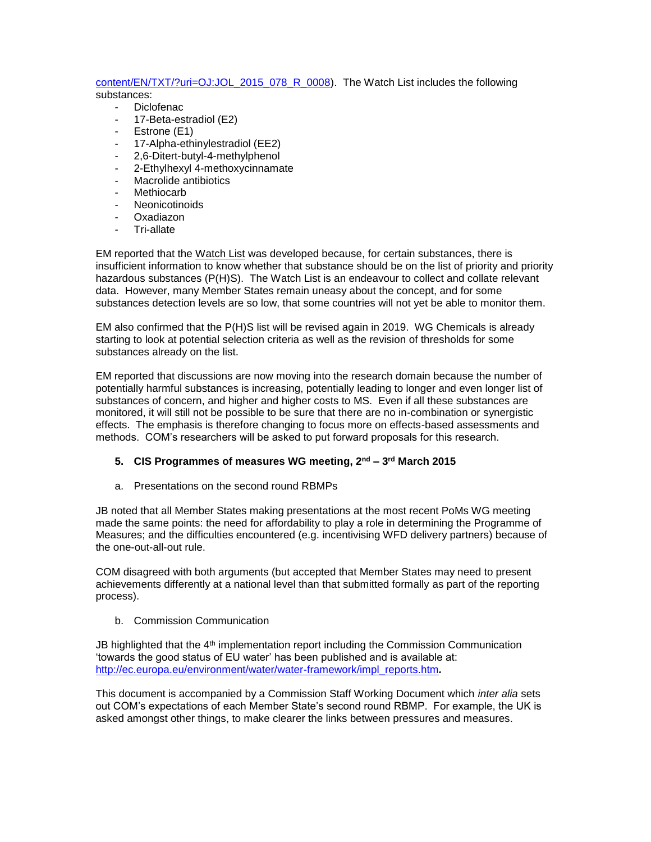#### [content/EN/TXT/?uri=OJ:JOL\\_2015\\_078\\_R\\_0008\)](http://eur-lex.europa.eu/legal-content/EN/TXT/?uri=OJ:JOL_2015_078_R_0008). The Watch List includes the following substances:

- Diclofenac - 17-Beta-estradiol (E2)
- 
- Estrone (E1)
- 17-Alpha-ethinylestradiol (EE2)
- 2,6-Ditert-butyl-4-methylphenol
- 2-Ethylhexyl 4-methoxycinnamate
- Macrolide antibiotics
- Methiocarb
- **Neonicotinoids**
- Oxadiazon
- Tri-allate

EM reported that the Watch List was developed because, for certain substances, there is insufficient information to know whether that substance should be on the list of priority and priority hazardous substances (P(H)S). The Watch List is an endeavour to collect and collate relevant data. However, many Member States remain uneasy about the concept, and for some substances detection levels are so low, that some countries will not yet be able to monitor them.

EM also confirmed that the P(H)S list will be revised again in 2019. WG Chemicals is already starting to look at potential selection criteria as well as the revision of thresholds for some substances already on the list.

EM reported that discussions are now moving into the research domain because the number of potentially harmful substances is increasing, potentially leading to longer and even longer list of substances of concern, and higher and higher costs to MS. Even if all these substances are monitored, it will still not be possible to be sure that there are no in-combination or synergistic effects. The emphasis is therefore changing to focus more on effects-based assessments and methods. COM's researchers will be asked to put forward proposals for this research.

# **5. CIS Programmes of measures WG meeting, 2nd – 3 rd March 2015**

a. Presentations on the second round RBMPs

JB noted that all Member States making presentations at the most recent PoMs WG meeting made the same points: the need for affordability to play a role in determining the Programme of Measures; and the difficulties encountered (e.g. incentivising WFD delivery partners) because of the one-out-all-out rule.

COM disagreed with both arguments (but accepted that Member States may need to present achievements differently at a national level than that submitted formally as part of the reporting process).

b. Commission Communication

JB highlighted that the 4<sup>th</sup> implementation report including the Commission Communication 'towards the good status of EU water' has been published and is available at: [http://ec.europa.eu/environment/water/water-framework/impl\\_reports.htm](http://ec.europa.eu/environment/water/water-framework/impl_reports.htm)*.* 

This document is accompanied by a Commission Staff Working Document which *inter alia* sets out COM's expectations of each Member State's second round RBMP. For example, the UK is asked amongst other things, to make clearer the links between pressures and measures.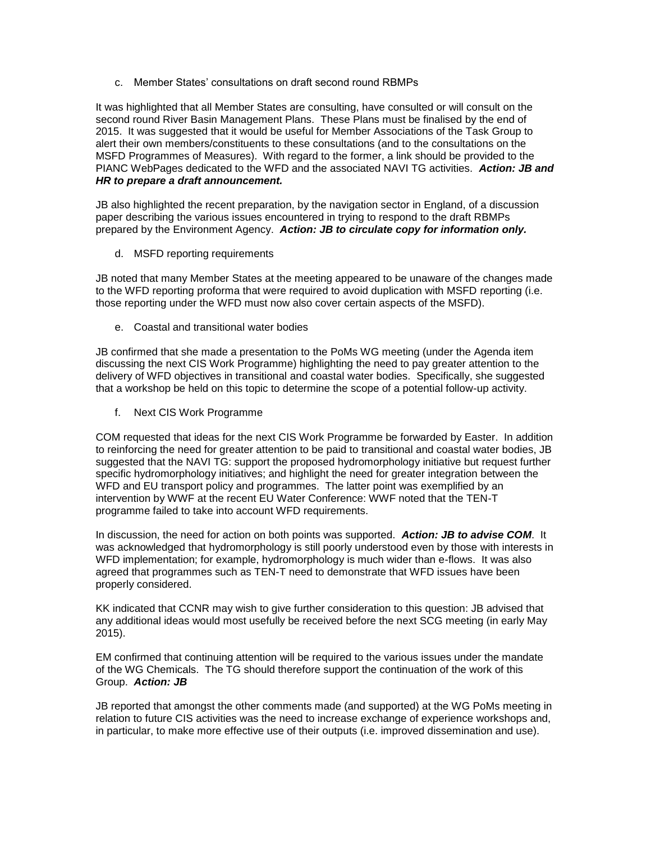c. Member States' consultations on draft second round RBMPs

It was highlighted that all Member States are consulting, have consulted or will consult on the second round River Basin Management Plans. These Plans must be finalised by the end of 2015. It was suggested that it would be useful for Member Associations of the Task Group to alert their own members/constituents to these consultations (and to the consultations on the MSFD Programmes of Measures). With regard to the former, a link should be provided to the PIANC WebPages dedicated to the WFD and the associated NAVI TG activities. *Action: JB and HR to prepare a draft announcement.*

JB also highlighted the recent preparation, by the navigation sector in England, of a discussion paper describing the various issues encountered in trying to respond to the draft RBMPs prepared by the Environment Agency. *Action: JB to circulate copy for information only.* 

d. MSFD reporting requirements

JB noted that many Member States at the meeting appeared to be unaware of the changes made to the WFD reporting proforma that were required to avoid duplication with MSFD reporting (i.e. those reporting under the WFD must now also cover certain aspects of the MSFD).

e. Coastal and transitional water bodies

JB confirmed that she made a presentation to the PoMs WG meeting (under the Agenda item discussing the next CIS Work Programme) highlighting the need to pay greater attention to the delivery of WFD objectives in transitional and coastal water bodies. Specifically, she suggested that a workshop be held on this topic to determine the scope of a potential follow-up activity.

f. Next CIS Work Programme

COM requested that ideas for the next CIS Work Programme be forwarded by Easter. In addition to reinforcing the need for greater attention to be paid to transitional and coastal water bodies, JB suggested that the NAVI TG: support the proposed hydromorphology initiative but request further specific hydromorphology initiatives; and highlight the need for greater integration between the WFD and EU transport policy and programmes. The latter point was exemplified by an intervention by WWF at the recent EU Water Conference: WWF noted that the TEN-T programme failed to take into account WFD requirements.

In discussion, the need for action on both points was supported. *Action: JB to advise COM*. It was acknowledged that hydromorphology is still poorly understood even by those with interests in WFD implementation; for example, hydromorphology is much wider than e-flows. It was also agreed that programmes such as TEN-T need to demonstrate that WFD issues have been properly considered.

KK indicated that CCNR may wish to give further consideration to this question: JB advised that any additional ideas would most usefully be received before the next SCG meeting (in early May 2015).

EM confirmed that continuing attention will be required to the various issues under the mandate of the WG Chemicals. The TG should therefore support the continuation of the work of this Group. *Action: JB* 

JB reported that amongst the other comments made (and supported) at the WG PoMs meeting in relation to future CIS activities was the need to increase exchange of experience workshops and, in particular, to make more effective use of their outputs (i.e. improved dissemination and use).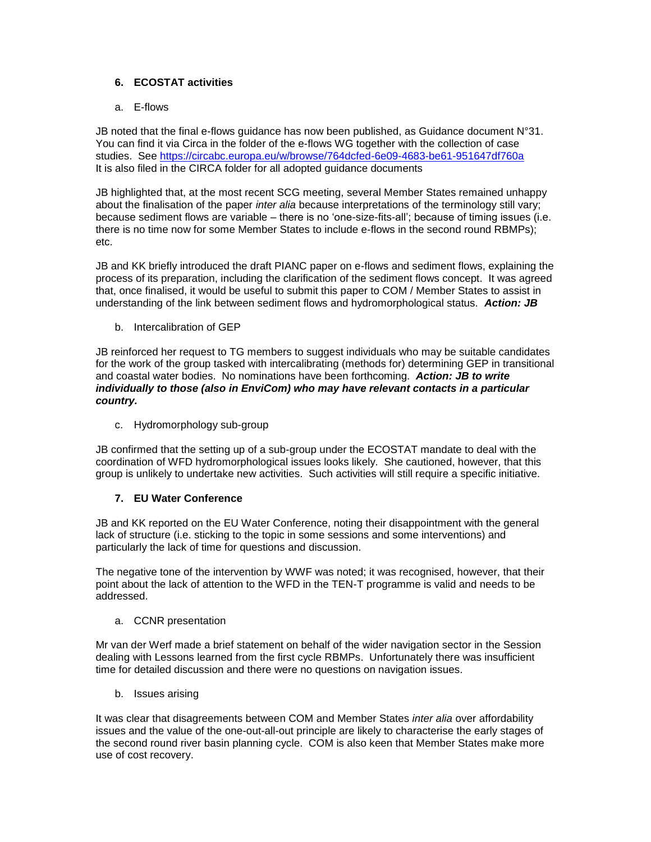# **6. ECOSTAT activities**

# a. E-flows

JB noted that the final e-flows guidance has now been published, as Guidance document N°31. You can find it via Circa in the folder of the e-flows WG together with the collection of case studies. See<https://circabc.europa.eu/w/browse/764dcfed-6e09-4683-be61-951647df760a> It is also filed in the CIRCA folder for all adopted guidance documents

JB highlighted that, at the most recent SCG meeting, several Member States remained unhappy about the finalisation of the paper *inter alia* because interpretations of the terminology still vary; because sediment flows are variable – there is no 'one-size-fits-all'; because of timing issues (i.e. there is no time now for some Member States to include e-flows in the second round RBMPs); etc.

JB and KK briefly introduced the draft PIANC paper on e-flows and sediment flows, explaining the process of its preparation, including the clarification of the sediment flows concept. It was agreed that, once finalised, it would be useful to submit this paper to COM / Member States to assist in understanding of the link between sediment flows and hydromorphological status. *Action: JB*

b. Intercalibration of GEP

JB reinforced her request to TG members to suggest individuals who may be suitable candidates for the work of the group tasked with intercalibrating (methods for) determining GEP in transitional and coastal water bodies. No nominations have been forthcoming. *Action: JB to write individually to those (also in EnviCom) who may have relevant contacts in a particular country.*

c. Hydromorphology sub-group

JB confirmed that the setting up of a sub-group under the ECOSTAT mandate to deal with the coordination of WFD hydromorphological issues looks likely. She cautioned, however, that this group is unlikely to undertake new activities. Such activities will still require a specific initiative.

# **7. EU Water Conference**

JB and KK reported on the EU Water Conference, noting their disappointment with the general lack of structure (i.e. sticking to the topic in some sessions and some interventions) and particularly the lack of time for questions and discussion.

The negative tone of the intervention by WWF was noted; it was recognised, however, that their point about the lack of attention to the WFD in the TEN-T programme is valid and needs to be addressed.

### a. CCNR presentation

Mr van der Werf made a brief statement on behalf of the wider navigation sector in the Session dealing with Lessons learned from the first cycle RBMPs. Unfortunately there was insufficient time for detailed discussion and there were no questions on navigation issues.

b. Issues arising

It was clear that disagreements between COM and Member States *inter alia* over affordability issues and the value of the one-out-all-out principle are likely to characterise the early stages of the second round river basin planning cycle. COM is also keen that Member States make more use of cost recovery.